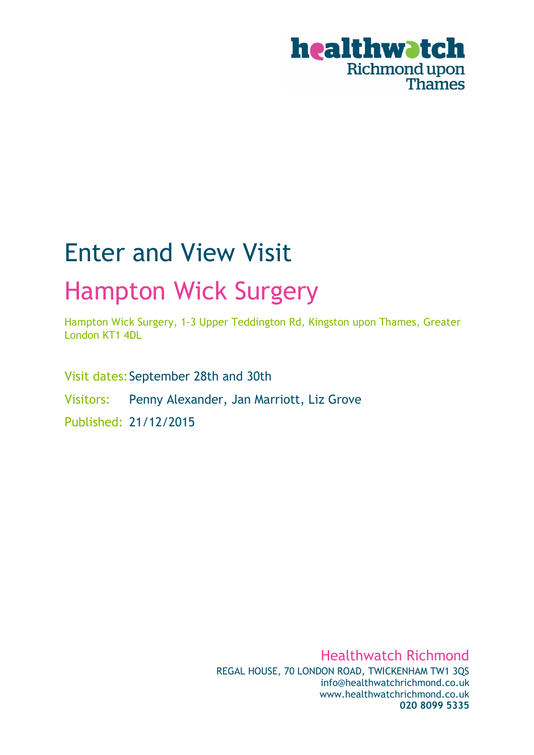

# Enter and View Visit Hampton Wick Surgery

Hampton Wick Surgery, 1-3 Upper Teddington Rd, Kingston upon Thames, Greater London KT1 4DL

Visit dates: September 28th and 30th

Visitors: Penny Alexander, Jan Marriott, Liz Grove

Published: 21/12/2015

Healthwatch Richmond REGAL HOUSE, 70 LONDON ROAD, TWICKENHAM TW1 3QS info@healthwatchrichmond.co.uk www.healthwatchrichmond.co.uk **020 8099 5335**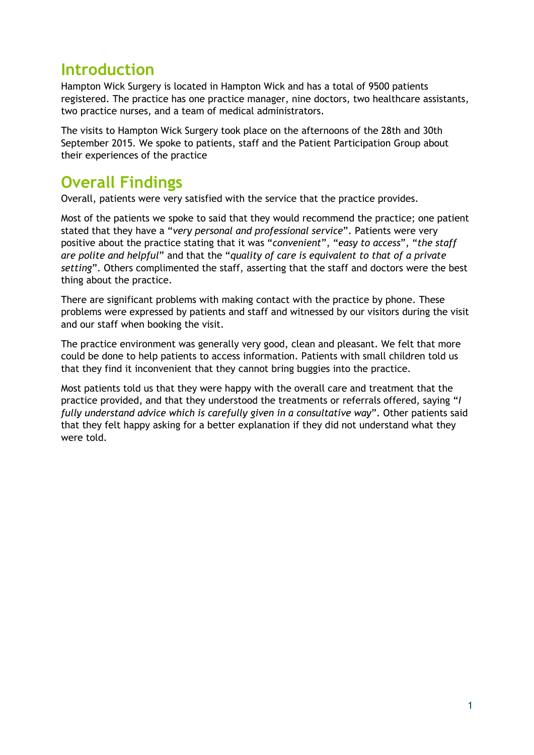# **Introduction**

Hampton Wick Surgery is located in Hampton Wick and has a total of 9500 patients registered. The practice has one practice manager, nine doctors, two healthcare assistants, two practice nurses, and a team of medical administrators.

The visits to Hampton Wick Surgery took place on the afternoons of the 28th and 30th September 2015. We spoke to patients, staff and the Patient Participation Group about their experiences of the practice

# **Overall Findings**

Overall, patients were very satisfied with the service that the practice provides.

Most of the patients we spoke to said that they would recommend the practice; one patient stated that they have a "*very personal and professional service*". Patients were very positive about the practice stating that it was "*convenient*", "*easy to access*", "*the staff are polite and helpful*" and that the "*quality of care is equivalent to that of a private setting*". Others complimented the staff, asserting that the staff and doctors were the best thing about the practice.

There are significant problems with making contact with the practice by phone. These problems were expressed by patients and staff and witnessed by our visitors during the visit and our staff when booking the visit.

The practice environment was generally very good, clean and pleasant. We felt that more could be done to help patients to access information. Patients with small children told us that they find it inconvenient that they cannot bring buggies into the practice.

Most patients told us that they were happy with the overall care and treatment that the practice provided, and that they understood the treatments or referrals offered, saying "*I fully understand advice which is carefully given in a consultative way*". Other patients said that they felt happy asking for a better explanation if they did not understand what they were told.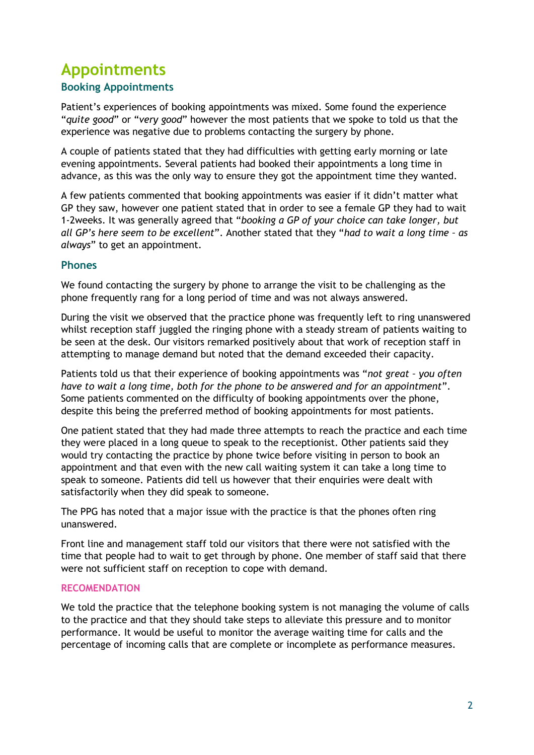# **Appointments**

### **Booking Appointments**

Patient's experiences of booking appointments was mixed. Some found the experience "*quite good*" or "*very good*" however the most patients that we spoke to told us that the experience was negative due to problems contacting the surgery by phone.

A couple of patients stated that they had difficulties with getting early morning or late evening appointments. Several patients had booked their appointments a long time in advance, as this was the only way to ensure they got the appointment time they wanted.

A few patients commented that booking appointments was easier if it didn't matter what GP they saw, however one patient stated that in order to see a female GP they had to wait 1-2weeks. It was generally agreed that "*booking a GP of your choice can take longer, but all GP's here seem to be excellent*". Another stated that they "*had to wait a long time – as always*" to get an appointment.

### **Phones**

We found contacting the surgery by phone to arrange the visit to be challenging as the phone frequently rang for a long period of time and was not always answered.

During the visit we observed that the practice phone was frequently left to ring unanswered whilst reception staff juggled the ringing phone with a steady stream of patients waiting to be seen at the desk. Our visitors remarked positively about that work of reception staff in attempting to manage demand but noted that the demand exceeded their capacity.

Patients told us that their experience of booking appointments was "*not great – you often have to wait a long time, both for the phone to be answered and for an appointment*". Some patients commented on the difficulty of booking appointments over the phone, despite this being the preferred method of booking appointments for most patients.

One patient stated that they had made three attempts to reach the practice and each time they were placed in a long queue to speak to the receptionist. Other patients said they would try contacting the practice by phone twice before visiting in person to book an appointment and that even with the new call waiting system it can take a long time to speak to someone. Patients did tell us however that their enquiries were dealt with satisfactorily when they did speak to someone.

The PPG has noted that a major issue with the practice is that the phones often ring unanswered.

Front line and management staff told our visitors that there were not satisfied with the time that people had to wait to get through by phone. One member of staff said that there were not sufficient staff on reception to cope with demand.

#### **RECOMENDATION**

We told the practice that the telephone booking system is not managing the volume of calls to the practice and that they should take steps to alleviate this pressure and to monitor performance. It would be useful to monitor the average waiting time for calls and the percentage of incoming calls that are complete or incomplete as performance measures.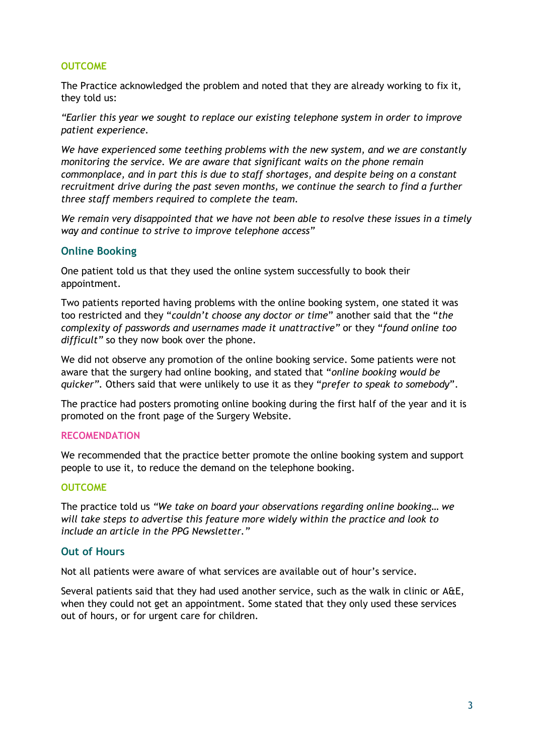#### **OUTCOME**

The Practice acknowledged the problem and noted that they are already working to fix it, they told us:

*"Earlier this year we sought to replace our existing telephone system in order to improve patient experience.*

*We have experienced some teething problems with the new system, and we are constantly monitoring the service. We are aware that significant waits on the phone remain commonplace, and in part this is due to staff shortages, and despite being on a constant recruitment drive during the past seven months, we continue the search to find a further three staff members required to complete the team.*

*We remain very disappointed that we have not been able to resolve these issues in a timely way and continue to strive to improve telephone access"*

#### **Online Booking**

One patient told us that they used the online system successfully to book their appointment.

Two patients reported having problems with the online booking system, one stated it was too restricted and they "*couldn't choose any doctor or time*" another said that the "*the complexity of passwords and usernames made it unattractive"* or they "*found online too difficult"* so they now book over the phone.

We did not observe any promotion of the online booking service. Some patients were not aware that the surgery had online booking, and stated that "*online booking would be quicker".* Others said that were unlikely to use it as they "*prefer to speak to somebody*".

The practice had posters promoting online booking during the first half of the year and it is promoted on the front page of the Surgery Website.

#### **RECOMENDATION**

We recommended that the practice better promote the online booking system and support people to use it, to reduce the demand on the telephone booking.

#### **OUTCOME**

The practice told us *"We take on board your observations regarding online booking… we will take steps to advertise this feature more widely within the practice and look to include an article in the PPG Newsletter."*

#### **Out of Hours**

Not all patients were aware of what services are available out of hour's service.

Several patients said that they had used another service, such as the walk in clinic or A&E, when they could not get an appointment. Some stated that they only used these services out of hours, or for urgent care for children.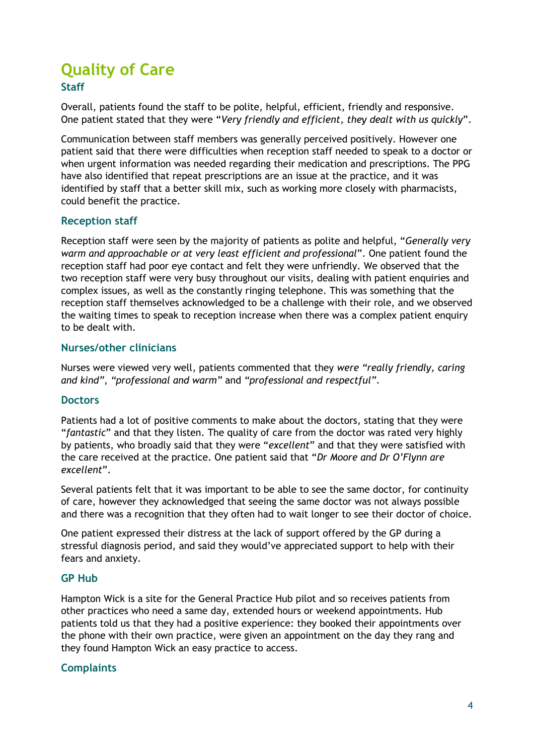# **Quality of Care**

### **Staff**

Overall, patients found the staff to be polite, helpful, efficient, friendly and responsive. One patient stated that they were "*Very friendly and efficient, they dealt with us quickly*".

Communication between staff members was generally perceived positively. However one patient said that there were difficulties when reception staff needed to speak to a doctor or when urgent information was needed regarding their medication and prescriptions. The PPG have also identified that repeat prescriptions are an issue at the practice, and it was identified by staff that a better skill mix, such as working more closely with pharmacists, could benefit the practice.

### **Reception staff**

Reception staff were seen by the majority of patients as polite and helpful, "*Generally very warm and approachable or at very least efficient and professional*". One patient found the reception staff had poor eye contact and felt they were unfriendly. We observed that the two reception staff were very busy throughout our visits, dealing with patient enquiries and complex issues, as well as the constantly ringing telephone. This was something that the reception staff themselves acknowledged to be a challenge with their role, and we observed the waiting times to speak to reception increase when there was a complex patient enquiry to be dealt with.

### **Nurses/other clinicians**

Nurses were viewed very well, patients commented that they *were "really friendly, caring and kind"*, *"professional and warm"* and *"professional and respectful"*.

#### **Doctors**

Patients had a lot of positive comments to make about the doctors, stating that they were "*fantastic*" and that they listen. The quality of care from the doctor was rated very highly by patients, who broadly said that they were "*excellent*" and that they were satisfied with the care received at the practice. One patient said that "*Dr Moore and Dr O'Flynn are excellent*".

Several patients felt that it was important to be able to see the same doctor, for continuity of care, however they acknowledged that seeing the same doctor was not always possible and there was a recognition that they often had to wait longer to see their doctor of choice.

One patient expressed their distress at the lack of support offered by the GP during a stressful diagnosis period, and said they would've appreciated support to help with their fears and anxiety.

#### **GP Hub**

Hampton Wick is a site for the General Practice Hub pilot and so receives patients from other practices who need a same day, extended hours or weekend appointments. Hub patients told us that they had a positive experience: they booked their appointments over the phone with their own practice, were given an appointment on the day they rang and they found Hampton Wick an easy practice to access.

#### **Complaints**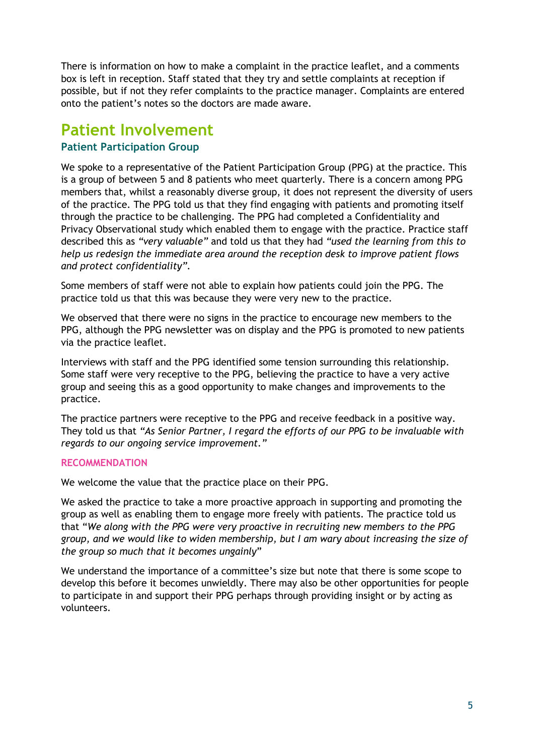There is information on how to make a complaint in the practice leaflet, and a comments box is left in reception. Staff stated that they try and settle complaints at reception if possible, but if not they refer complaints to the practice manager. Complaints are entered onto the patient's notes so the doctors are made aware.

## **Patient Involvement**

### **Patient Participation Group**

We spoke to a representative of the Patient Participation Group (PPG) at the practice. This is a group of between 5 and 8 patients who meet quarterly. There is a concern among PPG members that, whilst a reasonably diverse group, it does not represent the diversity of users of the practice. The PPG told us that they find engaging with patients and promoting itself through the practice to be challenging. The PPG had completed a Confidentiality and Privacy Observational study which enabled them to engage with the practice. Practice staff described this as *"very valuable"* and told us that they had *"used the learning from this to help us redesign the immediate area around the reception desk to improve patient flows and protect confidentiality".*

Some members of staff were not able to explain how patients could join the PPG. The practice told us that this was because they were very new to the practice.

We observed that there were no signs in the practice to encourage new members to the PPG, although the PPG newsletter was on display and the PPG is promoted to new patients via the practice leaflet.

Interviews with staff and the PPG identified some tension surrounding this relationship. Some staff were very receptive to the PPG, believing the practice to have a very active group and seeing this as a good opportunity to make changes and improvements to the practice.

The practice partners were receptive to the PPG and receive feedback in a positive way. They told us that *"As Senior Partner, I regard the efforts of our PPG to be invaluable with regards to our ongoing service improvement."*

#### **RECOMMENDATION**

We welcome the value that the practice place on their PPG.

We asked the practice to take a more proactive approach in supporting and promoting the group as well as enabling them to engage more freely with patients. The practice told us that "*We along with the PPG were very proactive in recruiting new members to the PPG group, and we would like to widen membership, but I am wary about increasing the size of the group so much that it becomes ungainly*"

We understand the importance of a committee's size but note that there is some scope to develop this before it becomes unwieldly. There may also be other opportunities for people to participate in and support their PPG perhaps through providing insight or by acting as volunteers.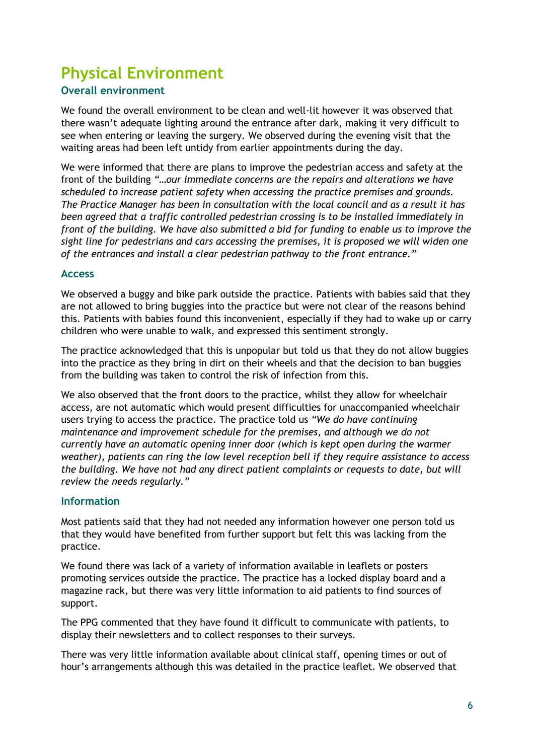# **Physical Environment**

### **Overall environment**

We found the overall environment to be clean and well-lit however it was observed that there wasn't adequate lighting around the entrance after dark, making it very difficult to see when entering or leaving the surgery. We observed during the evening visit that the waiting areas had been left untidy from earlier appointments during the day.

We were informed that there are plans to improve the pedestrian access and safety at the front of the building *"…our immediate concerns are the repairs and alterations we have scheduled to increase patient safety when accessing the practice premises and grounds. The Practice Manager has been in consultation with the local council and as a result it has been agreed that a traffic controlled pedestrian crossing is to be installed immediately in front of the building. We have also submitted a bid for funding to enable us to improve the sight line for pedestrians and cars accessing the premises, it is proposed we will widen one of the entrances and install a clear pedestrian pathway to the front entrance."*

#### **Access**

We observed a buggy and bike park outside the practice. Patients with babies said that they are not allowed to bring buggies into the practice but were not clear of the reasons behind this. Patients with babies found this inconvenient, especially if they had to wake up or carry children who were unable to walk, and expressed this sentiment strongly.

The practice acknowledged that this is unpopular but told us that they do not allow buggies into the practice as they bring in dirt on their wheels and that the decision to ban buggies from the building was taken to control the risk of infection from this.

We also observed that the front doors to the practice, whilst they allow for wheelchair access, are not automatic which would present difficulties for unaccompanied wheelchair users trying to access the practice. The practice told us *"We do have continuing maintenance and improvement schedule for the premises, and although we do not currently have an automatic opening inner door (which is kept open during the warmer weather), patients can ring the low level reception bell if they require assistance to access the building. We have not had any direct patient complaints or requests to date, but will review the needs regularly."*

#### **Information**

Most patients said that they had not needed any information however one person told us that they would have benefited from further support but felt this was lacking from the practice.

We found there was lack of a variety of information available in leaflets or posters promoting services outside the practice. The practice has a locked display board and a magazine rack, but there was very little information to aid patients to find sources of support.

The PPG commented that they have found it difficult to communicate with patients, to display their newsletters and to collect responses to their surveys.

There was very little information available about clinical staff, opening times or out of hour's arrangements although this was detailed in the practice leaflet. We observed that